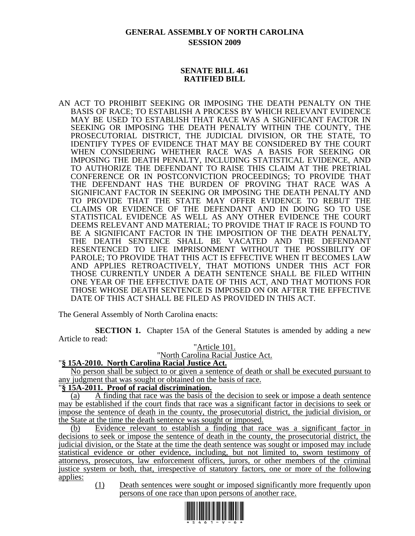# **GENERAL ASSEMBLY OF NORTH CAROLINA SESSION 2009**

### **SENATE BILL 461 RATIFIED BILL**

AN ACT TO PROHIBIT SEEKING OR IMPOSING THE DEATH PENALTY ON THE BASIS OF RACE; TO ESTABLISH A PROCESS BY WHICH RELEVANT EVIDENCE MAY BE USED TO ESTABLISH THAT RACE WAS A SIGNIFICANT FACTOR IN SEEKING OR IMPOSING THE DEATH PENALTY WITHIN THE COUNTY, THE PROSECUTORIAL DISTRICT, THE JUDICIAL DIVISION, OR THE STATE, TO IDENTIFY TYPES OF EVIDENCE THAT MAY BE CONSIDERED BY THE COURT WHEN CONSIDERING WHETHER RACE WAS A BASIS FOR SEEKING OR IMPOSING THE DEATH PENALTY, INCLUDING STATISTICAL EVIDENCE, AND TO AUTHORIZE THE DEFENDANT TO RAISE THIS CLAIM AT THE PRETRIAL CONFERENCE OR IN POSTCONVICTION PROCEEDINGS; TO PROVIDE THAT THE DEFENDANT HAS THE BURDEN OF PROVING THAT RACE WAS A SIGNIFICANT FACTOR IN SEEKING OR IMPOSING THE DEATH PENALTY AND TO PROVIDE THAT THE STATE MAY OFFER EVIDENCE TO REBUT THE CLAIMS OR EVIDENCE OF THE DEFENDANT AND IN DOING SO TO USE STATISTICAL EVIDENCE AS WELL AS ANY OTHER EVIDENCE THE COURT DEEMS RELEVANT AND MATERIAL; TO PROVIDE THAT IF RACE IS FOUND TO BE A SIGNIFICANT FACTOR IN THE IMPOSITION OF THE DEATH PENALTY, THE DEATH SENTENCE SHALL BE VACATED AND THE DEFENDANT RESENTENCED TO LIFE IMPRISONMENT WITHOUT THE POSSIBILITY OF PAROLE; TO PROVIDE THAT THIS ACT IS EFFECTIVE WHEN IT BECOMES LAW AND APPLIES RETROACTIVELY, THAT MOTIONS UNDER THIS ACT FOR THOSE CURRENTLY UNDER A DEATH SENTENCE SHALL BE FILED WITHIN ONE YEAR OF THE EFFECTIVE DATE OF THIS ACT, AND THAT MOTIONS FOR THOSE WHOSE DEATH SENTENCE IS IMPOSED ON OR AFTER THE EFFECTIVE DATE OF THIS ACT SHALL BE FILED AS PROVIDED IN THIS ACT.

The General Assembly of North Carolina enacts:

**SECTION 1.** Chapter 15A of the General Statutes is amended by adding a new Article to read:

## "Article 101.

"North Carolina Racial Justice Act. "**§ 15A-2010. North Carolina Racial Justice Act.**

No person shall be subject to or given a sentence of death or shall be executed pursuant to any judgment that was sought or obtained on the basis of race.

### "**§ 15A-2011. Proof of racial discrimination.**

(a) A finding that race was the basis of the decision to seek or impose a death sentence may be established if the court finds that race was a significant factor in decisions to seek or impose the sentence of death in the county, the prosecutorial district, the judicial division, or the State at the time the death sentence was sought or imposed.

(b) Evidence relevant to establish a finding that race was a significant factor in decisions to seek or impose the sentence of death in the county, the prosecutorial district, the judicial division, or the State at the time the death sentence was sought or imposed may include statistical evidence or other evidence, including, but not limited to, sworn testimony of attorneys, prosecutors, law enforcement officers, jurors, or other members of the criminal justice system or both, that, irrespective of statutory factors, one or more of the following applies:

(1) Death sentences were sought or imposed significantly more frequently upon persons of one race than upon persons of another race.

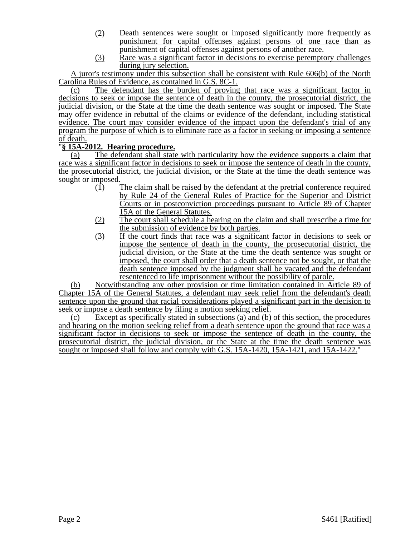- (2) Death sentences were sought or imposed significantly more frequently as punishment for capital offenses against persons of one race than as punishment of capital offenses against persons of another race.
- (3) Race was a significant factor in decisions to exercise peremptory challenges during jury selection.

A juror's testimony under this subsection shall be consistent with Rule 606(b) of the North Carolina Rules of Evidence, as contained in G.S. 8C-1.

(c) The defendant has the burden of proving that race was a significant factor in decisions to seek or impose the sentence of death in the county, the prosecutorial district, the judicial division, or the State at the time the death sentence was sought or imposed. The State may offer evidence in rebuttal of the claims or evidence of the defendant, including statistical evidence. The court may consider evidence of the impact upon the defendant's trial of any program the purpose of which is to eliminate race as a factor in seeking or imposing a sentence of death.

# "**§ 15A-2012. Hearing procedure.**

(a) The defendant shall state with particularity how the evidence supports a claim that race was a significant factor in decisions to seek or impose the sentence of death in the county, the prosecutorial district, the judicial division, or the State at the time the death sentence was sought or imposed.

- (1) The claim shall be raised by the defendant at the pretrial conference required by Rule 24 of the General Rules of Practice for the Superior and District Courts or in postconviction proceedings pursuant to Article 89 of Chapter 15A of the General Statutes.
- (2) The court shall schedule a hearing on the claim and shall prescribe a time for the submission of evidence by both parties.
- (3) If the court finds that race was a significant factor in decisions to seek or impose the sentence of death in the county, the prosecutorial district, the judicial division, or the State at the time the death sentence was sought or imposed, the court shall order that a death sentence not be sought, or that the death sentence imposed by the judgment shall be vacated and the defendant resentenced to life imprisonment without the possibility of parole.

(b) Notwithstanding any other provision or time limitation contained in Article 89 of Chapter 15A of the General Statutes, a defendant may seek relief from the defendant's death sentence upon the ground that racial considerations played a significant part in the decision to seek or impose a death sentence by filing a motion seeking relief.

(c) Except as specifically stated in subsections (a) and (b) of this section, the procedures and hearing on the motion seeking relief from a death sentence upon the ground that race was a significant factor in decisions to seek or impose the sentence of death in the county, the prosecutorial district, the judicial division, or the State at the time the death sentence was sought or imposed shall follow and comply with G.S. 15A-1420, 15A-1421, and 15A-1422."